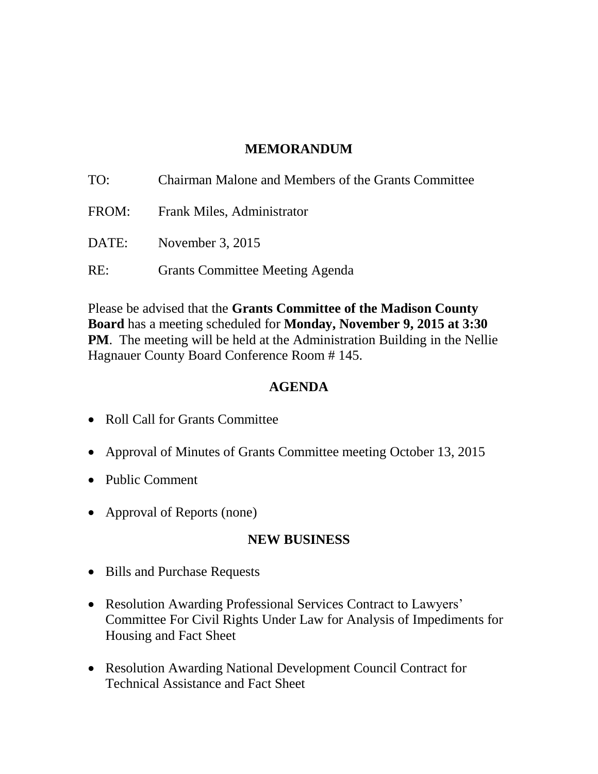## **MEMORANDUM**

| TO:   | Chairman Malone and Members of the Grants Committee |
|-------|-----------------------------------------------------|
| FROM: | Frank Miles, Administrator                          |
| DATE: | November 3, $2015$                                  |
| RE:   | <b>Grants Committee Meeting Agenda</b>              |

Please be advised that the **Grants Committee of the Madison County Board** has a meeting scheduled for **Monday, November 9, 2015 at 3:30 PM**. The meeting will be held at the Administration Building in the Nellie Hagnauer County Board Conference Room # 145.

#### **AGENDA**

- Roll Call for Grants Committee
- Approval of Minutes of Grants Committee meeting October 13, 2015
- Public Comment
- Approval of Reports (none)

### **NEW BUSINESS**

- Bills and Purchase Requests
- Resolution Awarding Professional Services Contract to Lawyers' Committee For Civil Rights Under Law for Analysis of Impediments for Housing and Fact Sheet
- Resolution Awarding National Development Council Contract for Technical Assistance and Fact Sheet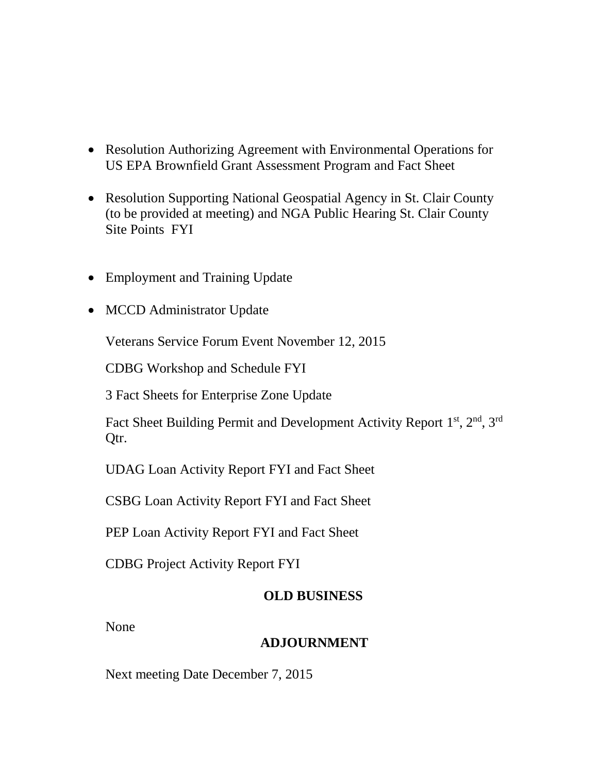- Resolution Authorizing Agreement with Environmental Operations for US EPA Brownfield Grant Assessment Program and Fact Sheet
- Resolution Supporting National Geospatial Agency in St. Clair County (to be provided at meeting) and NGA Public Hearing St. Clair County Site Points FYI
- Employment and Training Update
- MCCD Administrator Update

Veterans Service Forum Event November 12, 2015

CDBG Workshop and Schedule FYI

3 Fact Sheets for Enterprise Zone Update

Fact Sheet Building Permit and Development Activity Report 1<sup>st</sup>, 2<sup>nd</sup>, 3<sup>rd</sup> Qtr.

UDAG Loan Activity Report FYI and Fact Sheet

CSBG Loan Activity Report FYI and Fact Sheet

PEP Loan Activity Report FYI and Fact Sheet

CDBG Project Activity Report FYI

# **OLD BUSINESS**

None

### **ADJOURNMENT**

Next meeting Date December 7, 2015